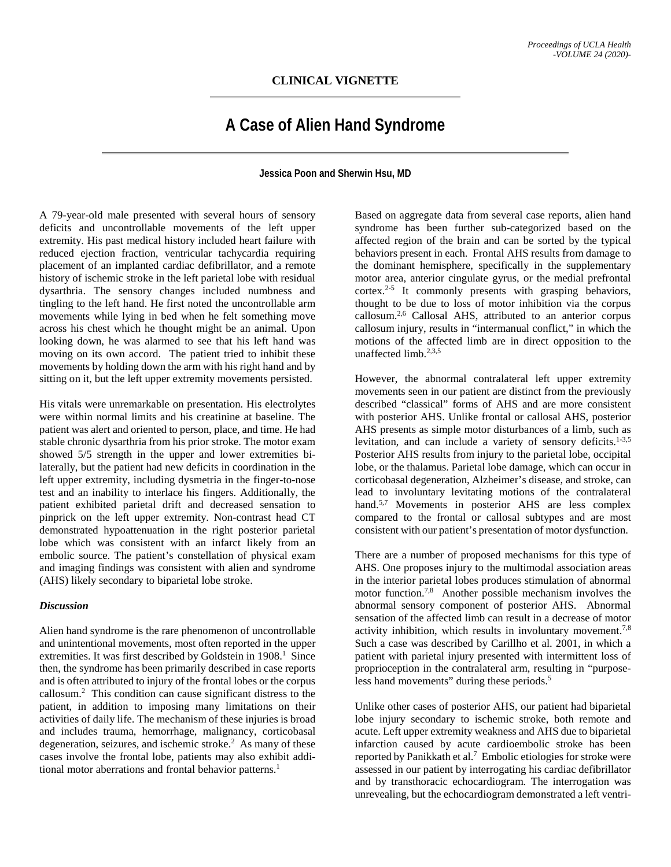## **CLINICAL VIGNETTE**

## **A Case of Alien Hand Syndrome**

**Jessica Poon and Sherwin Hsu, MD**

A 79-year-old male presented with several hours of sensory deficits and uncontrollable movements of the left upper extremity. His past medical history included heart failure with reduced ejection fraction, ventricular tachycardia requiring placement of an implanted cardiac defibrillator, and a remote history of ischemic stroke in the left parietal lobe with residual dysarthria. The sensory changes included numbness and tingling to the left hand. He first noted the uncontrollable arm movements while lying in bed when he felt something move across his chest which he thought might be an animal. Upon looking down, he was alarmed to see that his left hand was moving on its own accord. The patient tried to inhibit these movements by holding down the arm with his right hand and by sitting on it, but the left upper extremity movements persisted.

His vitals were unremarkable on presentation. His electrolytes were within normal limits and his creatinine at baseline. The patient was alert and oriented to person, place, and time. He had stable chronic dysarthria from his prior stroke. The motor exam showed 5/5 strength in the upper and lower extremities bilaterally, but the patient had new deficits in coordination in the left upper extremity, including dysmetria in the finger-to-nose test and an inability to interlace his fingers. Additionally, the patient exhibited parietal drift and decreased sensation to pinprick on the left upper extremity. Non-contrast head CT demonstrated hypoattenuation in the right posterior parietal lobe which was consistent with an infarct likely from an embolic source. The patient's constellation of physical exam and imaging findings was consistent with alien and syndrome (AHS) likely secondary to biparietal lobe stroke.

## *Discussion*

Alien hand syndrome is the rare phenomenon of uncontrollable and unintentional movements, most often reported in the upper extremities. It was first described by Goldstein in 1908.<sup>1</sup> Since then, the syndrome has been primarily described in case reports and is often attributed to injury of the frontal lobes or the corpus callosum.2 This condition can cause significant distress to the patient, in addition to imposing many limitations on their activities of daily life. The mechanism of these injuries is broad and includes trauma, hemorrhage, malignancy, corticobasal degeneration, seizures, and ischemic stroke.<sup>2</sup> As many of these cases involve the frontal lobe, patients may also exhibit additional motor aberrations and frontal behavior patterns.<sup>1</sup>

Based on aggregate data from several case reports, alien hand syndrome has been further sub-categorized based on the affected region of the brain and can be sorted by the typical behaviors present in each. Frontal AHS results from damage to the dominant hemisphere, specifically in the supplementary motor area, anterior cingulate gyrus, or the medial prefrontal cortex.<sup>2-5</sup> It commonly presents with grasping behaviors, thought to be due to loss of motor inhibition via the corpus callosum.2,6 Callosal AHS, attributed to an anterior corpus callosum injury, results in "intermanual conflict," in which the motions of the affected limb are in direct opposition to the unaffected limb  $2,3,5$ 

However, the abnormal contralateral left upper extremity movements seen in our patient are distinct from the previously described "classical" forms of AHS and are more consistent with posterior AHS. Unlike frontal or callosal AHS, posterior AHS presents as simple motor disturbances of a limb, such as levitation, and can include a variety of sensory deficits.1-3,5 Posterior AHS results from injury to the parietal lobe, occipital lobe, or the thalamus. Parietal lobe damage, which can occur in corticobasal degeneration, Alzheimer's disease, and stroke, can lead to involuntary levitating motions of the contralateral hand.<sup>5,7</sup> Movements in posterior AHS are less complex compared to the frontal or callosal subtypes and are most consistent with our patient's presentation of motor dysfunction.

There are a number of proposed mechanisms for this type of AHS. One proposes injury to the multimodal association areas in the interior parietal lobes produces stimulation of abnormal motor function.7,8 Another possible mechanism involves the abnormal sensory component of posterior AHS. Abnormal sensation of the affected limb can result in a decrease of motor activity inhibition, which results in involuntary movement.<sup>7,8</sup> Such a case was described by Carillho et al. 2001, in which a patient with parietal injury presented with intermittent loss of proprioception in the contralateral arm, resulting in "purposeless hand movements" during these periods.<sup>5</sup>

Unlike other cases of posterior AHS, our patient had biparietal lobe injury secondary to ischemic stroke, both remote and acute. Left upper extremity weakness and AHS due to biparietal infarction caused by acute cardioembolic stroke has been reported by Panikkath et al.<sup>7</sup> Embolic etiologies for stroke were assessed in our patient by interrogating his cardiac defibrillator and by transthoracic echocardiogram. The interrogation was unrevealing, but the echocardiogram demonstrated a left ventri